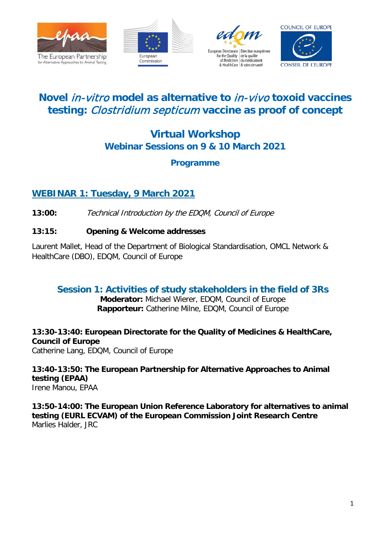







# **Novel** in-vitro **model as alternative to** in-vivo **toxoid vaccines testing:** Clostridium septicum **vaccine as proof of concept**

# **Virtual Workshop Webinar Sessions on 9 & 10 March 2021**

# **Programme**

# **WEBINAR 1: Tuesday, 9 March 2021**

**13:00:** Technical Introduction by the EDQM, Council of Europe

## **13:15: Opening & Welcome addresses**

Laurent Mallet, Head of the Department of Biological Standardisation, OMCL Network & HealthCare (DBO), EDQM, Council of Europe

# **Session 1: Activities of study stakeholders in the field of 3Rs**

**Moderator:** Michael Wierer, EDQM, Council of Europe **Rapporteur:** Catherine Milne, EDQM, Council of Europe

**13:30-13:40: European Directorate for the Quality of Medicines & HealthCare, Council of Europe**

Catherine Lang, EDQM, Council of Europe

**13:40-13:50: The European Partnership for Alternative Approaches to Animal testing (EPAA)** Irene Manou, EPAA

**13:50-14:00: The European Union Reference Laboratory for alternatives to animal testing (EURL ECVAM) of the European Commission Joint Research Centre** Marlies Halder, JRC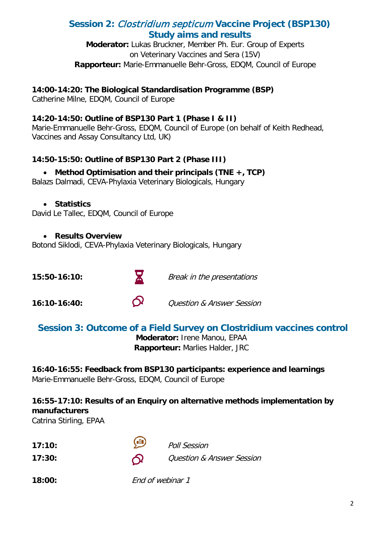# **Session 2:** Clostridium septicum **Vaccine Project (BSP130) Study aims and results**

**Moderator:** Lukas Bruckner, Member Ph. Eur. Group of Experts on Veterinary Vaccines and Sera (15V) **Rapporteur:** Marie-Emmanuelle Behr-Gross, EDQM, Council of Europe

### **14:00-14:20: The Biological Standardisation Programme (BSP)**

Catherine Milne, EDQM, Council of Europe

### **14:20-14:50: Outline of BSP130 Part 1 (Phase I & II)**

Marie-Emmanuelle Behr-Gross, EDQM, Council of Europe (on behalf of Keith Redhead, Vaccines and Assay Consultancy Ltd, UK)

## **14:50-15:50: Outline of BSP130 Part 2 (Phase III)**

## • **Method Optimisation and their principals (TNE +, TCP)**

Balazs Dalmadi, CEVA-Phylaxia Veterinary Biologicals, Hungary

#### • **Statistics**

David Le Tallec, EDQM, Council of Europe

#### • **Results Overview**

Botond Siklodi, CEVA-Phylaxia Veterinary Biologicals, Hungary

| 15:50-16:10:   |          | Break in the presentations           |
|----------------|----------|--------------------------------------|
| $16:10-16:40:$ | $\Omega$ | <b>Question &amp; Answer Session</b> |

### **Session 3: Outcome of a Field Survey on Clostridium vaccines control Moderator:** Irene Manou, EPAA **Rapporteur:** Marlies Halder, JRC

**16:40-16:55: Feedback from BSP130 participants: experience and learnings**  Marie-Emmanuelle Behr-Gross, EDQM, Council of Europe

## **16:55-17:10: Results of an Enquiry on alternative methods implementation by manufacturers**

Catrina Stirling, EPAA

| 17:10: | $\bigcirc$       | <b>Poll Session</b>                  |
|--------|------------------|--------------------------------------|
| 17:30: | $\Omega$         | <b>Question &amp; Answer Session</b> |
| 18:00: | End of webinar 1 |                                      |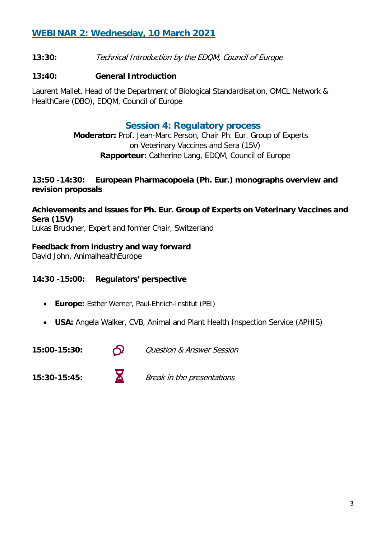# **WEBINAR 2: Wednesday, 10 March 2021**

**13:30:** Technical Introduction by the EDQM, Council of Europe

#### **13:40: General Introduction**

Laurent Mallet, Head of the Department of Biological Standardisation, OMCL Network & HealthCare (DBO), EDQM, Council of Europe

### **Session 4: Regulatory process**

**Moderator:** Prof. Jean-Marc Person, Chair Ph. Eur. Group of Experts on Veterinary Vaccines and Sera (15V) **Rapporteur:** Catherine Lang, EDQM, Council of Europe

#### **13:50 -14:30: European Pharmacopoeia (Ph. Eur.) monographs overview and revision proposals**

**Achievements and issues for Ph. Eur. Group of Experts on Veterinary Vaccines and Sera (15V)** Lukas Bruckner, Expert and former Chair, Switzerland

#### **Feedback from industry and way forward**

David John, AnimalhealthEurope

#### **14:30 -15:00: Regulators' perspective**

- **Europe:** Esther Werner, Paul-Ehrlich-Institut (PEI)
- **USA:** Angela Walker, CVB, Animal and Plant Health Inspection Service (APHIS)

**15:00-15:30:**  $\bigcap$  Question & Answer Session

**15:30-15:45:** Break in the presentations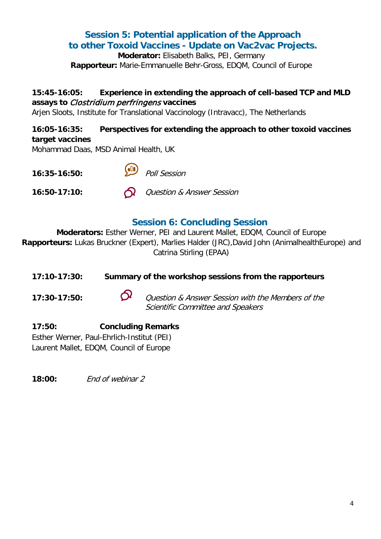# **Session 5: Potential application of the Approach to other Toxoid Vaccines - Update on Vac2vac Projects.**

**Moderator:** Elisabeth Balks, PEI, Germany **Rapporteur:** Marie-Emmanuelle Behr-Gross, EDQM, Council of Europe

### **15:45-16:05: Experience in extending the approach of cell-based TCP and MLD assays to** Clostridium perfringens **vaccines**

Arjen Sloots, Institute for Translational Vaccinology (Intravacc), The Netherlands

#### **16:05-16:35: Perspectives for extending the approach to other toxoid vaccines target vaccines**

Mohammad Daas, MSD Animal Health, UK



# **Session 6: Concluding Session**

**Moderators:** Esther Werner, PEI and Laurent Mallet, EDQM, Council of Europe **Rapporteurs:** Lukas Bruckner (Expert), Marlies Halder (JRC),David John (AnimalhealthEurope) and Catrina Stirling (EPAA)

### **17:10-17:30: Summary of the workshop sessions from the rapporteurs**

**17:30-17:50:** Question & Answer Session with the Members of the Scientific Committee and Speakers

**17:50: Concluding Remarks** Esther Werner, Paul-Ehrlich-Institut (PEI) Laurent Mallet, EDQM, Council of Europe

**18:00:** End of webinar 2